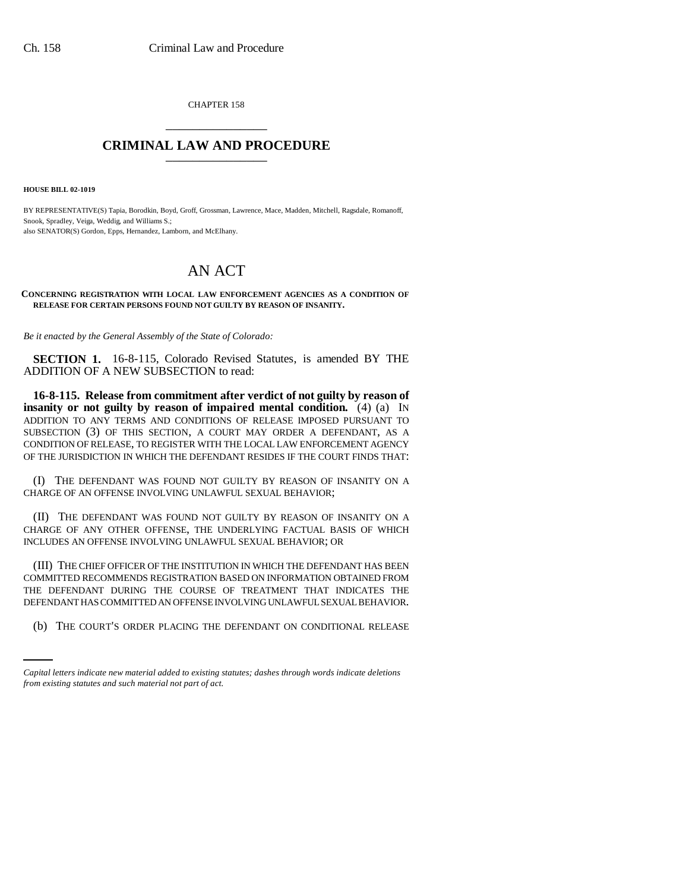CHAPTER 158 \_\_\_\_\_\_\_\_\_\_\_\_\_\_\_

## **CRIMINAL LAW AND PROCEDURE** \_\_\_\_\_\_\_\_\_\_\_\_\_\_\_

**HOUSE BILL 02-1019**

BY REPRESENTATIVE(S) Tapia, Borodkin, Boyd, Groff, Grossman, Lawrence, Mace, Madden, Mitchell, Ragsdale, Romanoff, Snook, Spradley, Veiga, Weddig, and Williams S.; also SENATOR(S) Gordon, Epps, Hernandez, Lamborn, and McElhany.

# AN ACT

#### **CONCERNING REGISTRATION WITH LOCAL LAW ENFORCEMENT AGENCIES AS A CONDITION OF RELEASE FOR CERTAIN PERSONS FOUND NOT GUILTY BY REASON OF INSANITY.**

*Be it enacted by the General Assembly of the State of Colorado:*

**SECTION 1.** 16-8-115, Colorado Revised Statutes, is amended BY THE ADDITION OF A NEW SUBSECTION to read:

**16-8-115. Release from commitment after verdict of not guilty by reason of insanity or not guilty by reason of impaired mental condition.** (4) (a) IN ADDITION TO ANY TERMS AND CONDITIONS OF RELEASE IMPOSED PURSUANT TO SUBSECTION (3) OF THIS SECTION, A COURT MAY ORDER A DEFENDANT, AS A CONDITION OF RELEASE, TO REGISTER WITH THE LOCAL LAW ENFORCEMENT AGENCY OF THE JURISDICTION IN WHICH THE DEFENDANT RESIDES IF THE COURT FINDS THAT:

(I) THE DEFENDANT WAS FOUND NOT GUILTY BY REASON OF INSANITY ON A CHARGE OF AN OFFENSE INVOLVING UNLAWFUL SEXUAL BEHAVIOR;

(II) THE DEFENDANT WAS FOUND NOT GUILTY BY REASON OF INSANITY ON A CHARGE OF ANY OTHER OFFENSE, THE UNDERLYING FACTUAL BASIS OF WHICH INCLUDES AN OFFENSE INVOLVING UNLAWFUL SEXUAL BEHAVIOR; OR

DEFENDANT HAS COMMITTED AN OFFENSE INVOLVING UNLAWFUL SEXUAL BEHAVIOR. (III) THE CHIEF OFFICER OF THE INSTITUTION IN WHICH THE DEFENDANT HAS BEEN COMMITTED RECOMMENDS REGISTRATION BASED ON INFORMATION OBTAINED FROM THE DEFENDANT DURING THE COURSE OF TREATMENT THAT INDICATES THE

(b) THE COURT'S ORDER PLACING THE DEFENDANT ON CONDITIONAL RELEASE

*Capital letters indicate new material added to existing statutes; dashes through words indicate deletions from existing statutes and such material not part of act.*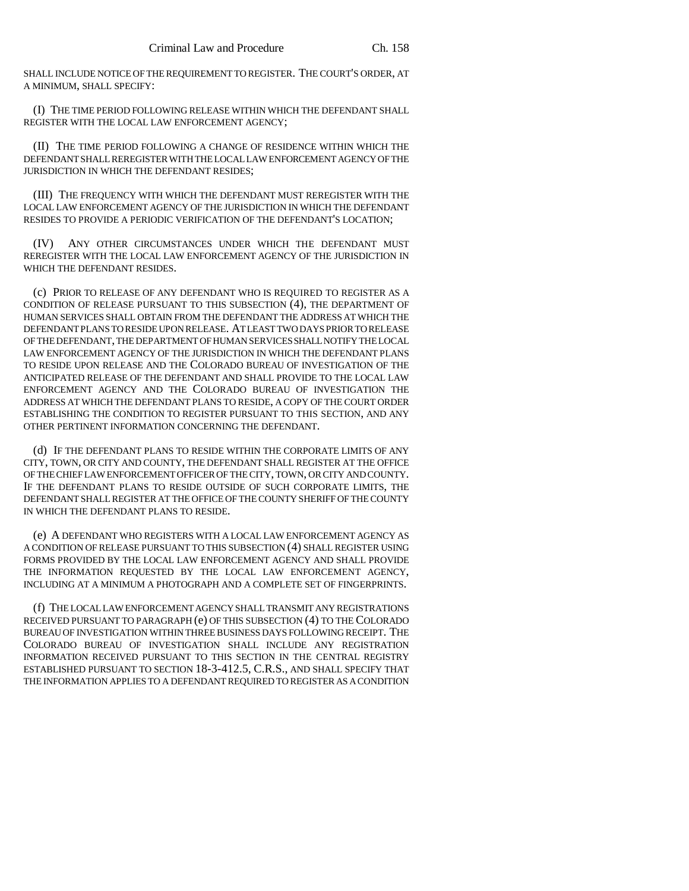SHALL INCLUDE NOTICE OF THE REQUIREMENT TO REGISTER. THE COURT'S ORDER, AT A MINIMUM, SHALL SPECIFY:

(I) THE TIME PERIOD FOLLOWING RELEASE WITHIN WHICH THE DEFENDANT SHALL REGISTER WITH THE LOCAL LAW ENFORCEMENT AGENCY;

(II) THE TIME PERIOD FOLLOWING A CHANGE OF RESIDENCE WITHIN WHICH THE DEFENDANT SHALL REREGISTER WITH THE LOCAL LAW ENFORCEMENT AGENCY OF THE JURISDICTION IN WHICH THE DEFENDANT RESIDES;

(III) THE FREQUENCY WITH WHICH THE DEFENDANT MUST REREGISTER WITH THE LOCAL LAW ENFORCEMENT AGENCY OF THE JURISDICTION IN WHICH THE DEFENDANT RESIDES TO PROVIDE A PERIODIC VERIFICATION OF THE DEFENDANT'S LOCATION;

(IV) ANY OTHER CIRCUMSTANCES UNDER WHICH THE DEFENDANT MUST REREGISTER WITH THE LOCAL LAW ENFORCEMENT AGENCY OF THE JURISDICTION IN WHICH THE DEFENDANT RESIDES.

(c) PRIOR TO RELEASE OF ANY DEFENDANT WHO IS REQUIRED TO REGISTER AS A CONDITION OF RELEASE PURSUANT TO THIS SUBSECTION (4), THE DEPARTMENT OF HUMAN SERVICES SHALL OBTAIN FROM THE DEFENDANT THE ADDRESS AT WHICH THE DEFENDANT PLANS TO RESIDE UPON RELEASE. AT LEAST TWO DAYS PRIOR TO RELEASE OF THE DEFENDANT, THE DEPARTMENT OF HUMAN SERVICES SHALL NOTIFY THE LOCAL LAW ENFORCEMENT AGENCY OF THE JURISDICTION IN WHICH THE DEFENDANT PLANS TO RESIDE UPON RELEASE AND THE COLORADO BUREAU OF INVESTIGATION OF THE ANTICIPATED RELEASE OF THE DEFENDANT AND SHALL PROVIDE TO THE LOCAL LAW ENFORCEMENT AGENCY AND THE COLORADO BUREAU OF INVESTIGATION THE ADDRESS AT WHICH THE DEFENDANT PLANS TO RESIDE, A COPY OF THE COURT ORDER ESTABLISHING THE CONDITION TO REGISTER PURSUANT TO THIS SECTION, AND ANY OTHER PERTINENT INFORMATION CONCERNING THE DEFENDANT.

(d) IF THE DEFENDANT PLANS TO RESIDE WITHIN THE CORPORATE LIMITS OF ANY CITY, TOWN, OR CITY AND COUNTY, THE DEFENDANT SHALL REGISTER AT THE OFFICE OF THE CHIEF LAW ENFORCEMENT OFFICER OF THE CITY, TOWN, OR CITY AND COUNTY. IF THE DEFENDANT PLANS TO RESIDE OUTSIDE OF SUCH CORPORATE LIMITS, THE DEFENDANT SHALL REGISTER AT THE OFFICE OF THE COUNTY SHERIFF OF THE COUNTY IN WHICH THE DEFENDANT PLANS TO RESIDE.

(e) A DEFENDANT WHO REGISTERS WITH A LOCAL LAW ENFORCEMENT AGENCY AS A CONDITION OF RELEASE PURSUANT TO THIS SUBSECTION (4) SHALL REGISTER USING FORMS PROVIDED BY THE LOCAL LAW ENFORCEMENT AGENCY AND SHALL PROVIDE THE INFORMATION REQUESTED BY THE LOCAL LAW ENFORCEMENT AGENCY, INCLUDING AT A MINIMUM A PHOTOGRAPH AND A COMPLETE SET OF FINGERPRINTS.

(f) THE LOCAL LAW ENFORCEMENT AGENCY SHALL TRANSMIT ANY REGISTRATIONS RECEIVED PURSUANT TO PARAGRAPH (e) OF THIS SUBSECTION (4) TO THE COLORADO BUREAU OF INVESTIGATION WITHIN THREE BUSINESS DAYS FOLLOWING RECEIPT. THE COLORADO BUREAU OF INVESTIGATION SHALL INCLUDE ANY REGISTRATION INFORMATION RECEIVED PURSUANT TO THIS SECTION IN THE CENTRAL REGISTRY ESTABLISHED PURSUANT TO SECTION 18-3-412.5, C.R.S., AND SHALL SPECIFY THAT THE INFORMATION APPLIES TO A DEFENDANT REQUIRED TO REGISTER AS A CONDITION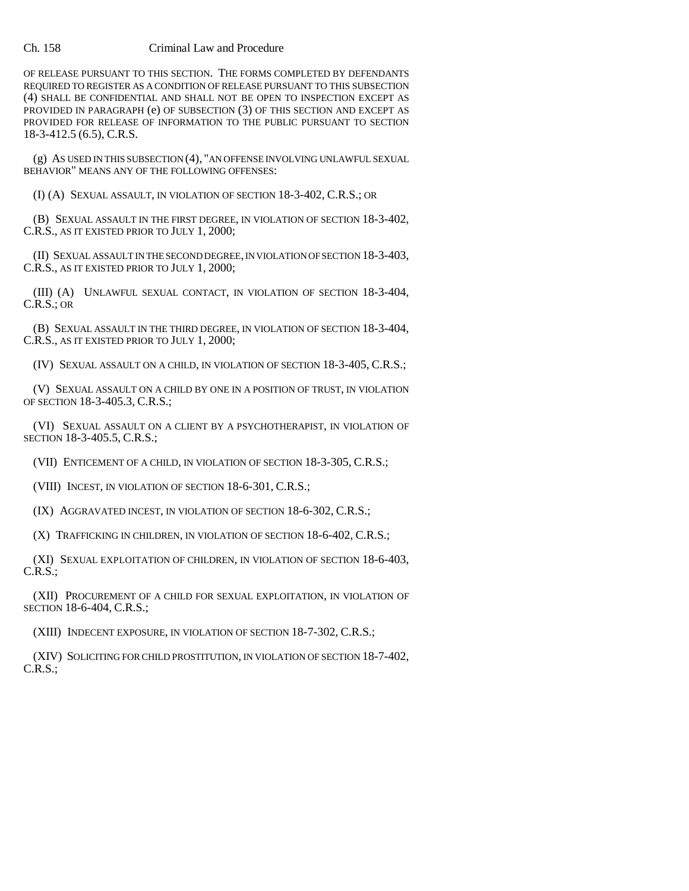### Ch. 158 Criminal Law and Procedure

OF RELEASE PURSUANT TO THIS SECTION. THE FORMS COMPLETED BY DEFENDANTS REQUIRED TO REGISTER AS A CONDITION OF RELEASE PURSUANT TO THIS SUBSECTION (4) SHALL BE CONFIDENTIAL AND SHALL NOT BE OPEN TO INSPECTION EXCEPT AS PROVIDED IN PARAGRAPH (e) OF SUBSECTION (3) OF THIS SECTION AND EXCEPT AS PROVIDED FOR RELEASE OF INFORMATION TO THE PUBLIC PURSUANT TO SECTION 18-3-412.5 (6.5), C.R.S.

(g) AS USED IN THIS SUBSECTION (4), "AN OFFENSE INVOLVING UNLAWFUL SEXUAL BEHAVIOR" MEANS ANY OF THE FOLLOWING OFFENSES:

(I) (A) SEXUAL ASSAULT, IN VIOLATION OF SECTION 18-3-402, C.R.S.; OR

(B) SEXUAL ASSAULT IN THE FIRST DEGREE, IN VIOLATION OF SECTION 18-3-402, C.R.S., AS IT EXISTED PRIOR TO JULY 1, 2000;

(II) SEXUAL ASSAULT IN THE SECOND DEGREE, IN VIOLATION OF SECTION 18-3-403, C.R.S., AS IT EXISTED PRIOR TO JULY 1, 2000;

(III) (A) UNLAWFUL SEXUAL CONTACT, IN VIOLATION OF SECTION 18-3-404, C.R.S.; OR

(B) SEXUAL ASSAULT IN THE THIRD DEGREE, IN VIOLATION OF SECTION 18-3-404, C.R.S., AS IT EXISTED PRIOR TO JULY 1, 2000;

(IV) SEXUAL ASSAULT ON A CHILD, IN VIOLATION OF SECTION 18-3-405, C.R.S.;

(V) SEXUAL ASSAULT ON A CHILD BY ONE IN A POSITION OF TRUST, IN VIOLATION OF SECTION 18-3-405.3, C.R.S.;

(VI) SEXUAL ASSAULT ON A CLIENT BY A PSYCHOTHERAPIST, IN VIOLATION OF SECTION 18-3-405.5, C.R.S.;

(VII) ENTICEMENT OF A CHILD, IN VIOLATION OF SECTION 18-3-305, C.R.S.;

(VIII) INCEST, IN VIOLATION OF SECTION 18-6-301, C.R.S.;

(IX) AGGRAVATED INCEST, IN VIOLATION OF SECTION 18-6-302, C.R.S.;

(X) TRAFFICKING IN CHILDREN, IN VIOLATION OF SECTION 18-6-402, C.R.S.;

(XI) SEXUAL EXPLOITATION OF CHILDREN, IN VIOLATION OF SECTION 18-6-403, C.R.S.;

(XII) PROCUREMENT OF A CHILD FOR SEXUAL EXPLOITATION, IN VIOLATION OF SECTION 18-6-404, C.R.S.;

(XIII) INDECENT EXPOSURE, IN VIOLATION OF SECTION 18-7-302, C.R.S.;

(XIV) SOLICITING FOR CHILD PROSTITUTION, IN VIOLATION OF SECTION 18-7-402, C.R.S.;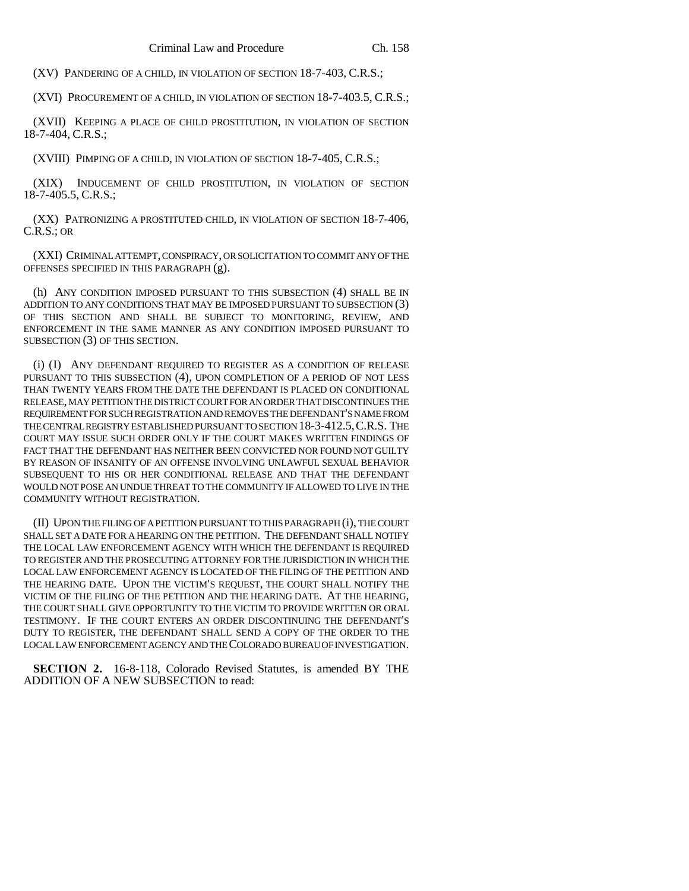(XV) PANDERING OF A CHILD, IN VIOLATION OF SECTION 18-7-403, C.R.S.;

(XVI) PROCUREMENT OF A CHILD, IN VIOLATION OF SECTION 18-7-403.5, C.R.S.;

(XVII) KEEPING A PLACE OF CHILD PROSTITUTION, IN VIOLATION OF SECTION 18-7-404, C.R.S.;

(XVIII) PIMPING OF A CHILD, IN VIOLATION OF SECTION 18-7-405, C.R.S.;

(XIX) INDUCEMENT OF CHILD PROSTITUTION, IN VIOLATION OF SECTION 18-7-405.5, C.R.S.;

(XX) PATRONIZING A PROSTITUTED CHILD, IN VIOLATION OF SECTION 18-7-406, C.R.S.; OR

(XXI) CRIMINAL ATTEMPT, CONSPIRACY, OR SOLICITATION TO COMMIT ANY OF THE OFFENSES SPECIFIED IN THIS PARAGRAPH (g).

(h) ANY CONDITION IMPOSED PURSUANT TO THIS SUBSECTION (4) SHALL BE IN ADDITION TO ANY CONDITIONS THAT MAY BE IMPOSED PURSUANT TO SUBSECTION (3) OF THIS SECTION AND SHALL BE SUBJECT TO MONITORING, REVIEW, AND ENFORCEMENT IN THE SAME MANNER AS ANY CONDITION IMPOSED PURSUANT TO SUBSECTION (3) OF THIS SECTION.

(i) (I) ANY DEFENDANT REQUIRED TO REGISTER AS A CONDITION OF RELEASE PURSUANT TO THIS SUBSECTION (4), UPON COMPLETION OF A PERIOD OF NOT LESS THAN TWENTY YEARS FROM THE DATE THE DEFENDANT IS PLACED ON CONDITIONAL RELEASE, MAY PETITION THE DISTRICT COURT FOR AN ORDER THAT DISCONTINUES THE REQUIREMENT FOR SUCH REGISTRATION AND REMOVES THE DEFENDANT'S NAME FROM THE CENTRAL REGISTRY ESTABLISHED PURSUANT TO SECTION 18-3-412.5,C.R.S. THE COURT MAY ISSUE SUCH ORDER ONLY IF THE COURT MAKES WRITTEN FINDINGS OF FACT THAT THE DEFENDANT HAS NEITHER BEEN CONVICTED NOR FOUND NOT GUILTY BY REASON OF INSANITY OF AN OFFENSE INVOLVING UNLAWFUL SEXUAL BEHAVIOR SUBSEQUENT TO HIS OR HER CONDITIONAL RELEASE AND THAT THE DEFENDANT WOULD NOT POSE AN UNDUE THREAT TO THE COMMUNITY IF ALLOWED TO LIVE IN THE COMMUNITY WITHOUT REGISTRATION.

(II) UPON THE FILING OF A PETITION PURSUANT TO THIS PARAGRAPH (i), THE COURT SHALL SET A DATE FOR A HEARING ON THE PETITION. THE DEFENDANT SHALL NOTIFY THE LOCAL LAW ENFORCEMENT AGENCY WITH WHICH THE DEFENDANT IS REQUIRED TO REGISTER AND THE PROSECUTING ATTORNEY FOR THE JURISDICTION IN WHICH THE LOCAL LAW ENFORCEMENT AGENCY IS LOCATED OF THE FILING OF THE PETITION AND THE HEARING DATE. UPON THE VICTIM'S REQUEST, THE COURT SHALL NOTIFY THE VICTIM OF THE FILING OF THE PETITION AND THE HEARING DATE. AT THE HEARING, THE COURT SHALL GIVE OPPORTUNITY TO THE VICTIM TO PROVIDE WRITTEN OR ORAL TESTIMONY. IF THE COURT ENTERS AN ORDER DISCONTINUING THE DEFENDANT'S DUTY TO REGISTER, THE DEFENDANT SHALL SEND A COPY OF THE ORDER TO THE LOCAL LAW ENFORCEMENT AGENCY AND THE COLORADO BUREAU OF INVESTIGATION.

**SECTION 2.** 16-8-118, Colorado Revised Statutes, is amended BY THE ADDITION OF A NEW SUBSECTION to read: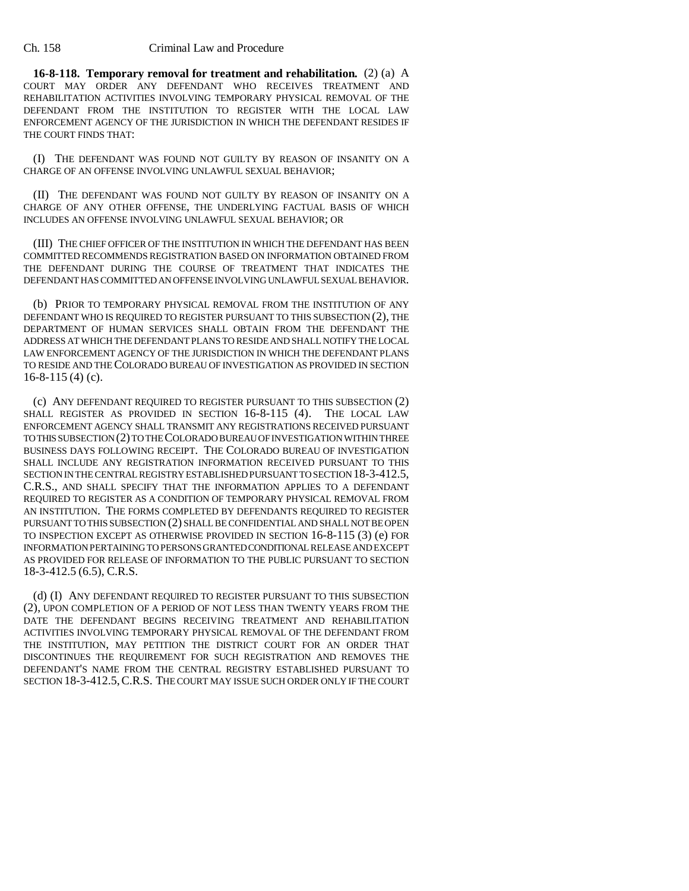#### Ch. 158 Criminal Law and Procedure

**16-8-118. Temporary removal for treatment and rehabilitation.** (2) (a) A COURT MAY ORDER ANY DEFENDANT WHO RECEIVES TREATMENT AND REHABILITATION ACTIVITIES INVOLVING TEMPORARY PHYSICAL REMOVAL OF THE DEFENDANT FROM THE INSTITUTION TO REGISTER WITH THE LOCAL LAW ENFORCEMENT AGENCY OF THE JURISDICTION IN WHICH THE DEFENDANT RESIDES IF THE COURT FINDS THAT:

(I) THE DEFENDANT WAS FOUND NOT GUILTY BY REASON OF INSANITY ON A CHARGE OF AN OFFENSE INVOLVING UNLAWFUL SEXUAL BEHAVIOR;

(II) THE DEFENDANT WAS FOUND NOT GUILTY BY REASON OF INSANITY ON A CHARGE OF ANY OTHER OFFENSE, THE UNDERLYING FACTUAL BASIS OF WHICH INCLUDES AN OFFENSE INVOLVING UNLAWFUL SEXUAL BEHAVIOR; OR

(III) THE CHIEF OFFICER OF THE INSTITUTION IN WHICH THE DEFENDANT HAS BEEN COMMITTED RECOMMENDS REGISTRATION BASED ON INFORMATION OBTAINED FROM THE DEFENDANT DURING THE COURSE OF TREATMENT THAT INDICATES THE DEFENDANT HAS COMMITTED AN OFFENSE INVOLVING UNLAWFUL SEXUAL BEHAVIOR.

(b) PRIOR TO TEMPORARY PHYSICAL REMOVAL FROM THE INSTITUTION OF ANY DEFENDANT WHO IS REQUIRED TO REGISTER PURSUANT TO THIS SUBSECTION (2), THE DEPARTMENT OF HUMAN SERVICES SHALL OBTAIN FROM THE DEFENDANT THE ADDRESS AT WHICH THE DEFENDANT PLANS TO RESIDE AND SHALL NOTIFY THE LOCAL LAW ENFORCEMENT AGENCY OF THE JURISDICTION IN WHICH THE DEFENDANT PLANS TO RESIDE AND THE COLORADO BUREAU OF INVESTIGATION AS PROVIDED IN SECTION 16-8-115 (4) (c).

(c) ANY DEFENDANT REQUIRED TO REGISTER PURSUANT TO THIS SUBSECTION (2) SHALL REGISTER AS PROVIDED IN SECTION 16-8-115 (4). THE LOCAL LAW ENFORCEMENT AGENCY SHALL TRANSMIT ANY REGISTRATIONS RECEIVED PURSUANT TO THIS SUBSECTION (2) TO THE COLORADO BUREAU OF INVESTIGATION WITHIN THREE BUSINESS DAYS FOLLOWING RECEIPT. THE COLORADO BUREAU OF INVESTIGATION SHALL INCLUDE ANY REGISTRATION INFORMATION RECEIVED PURSUANT TO THIS SECTION IN THE CENTRAL REGISTRY ESTABLISHED PURSUANT TO SECTION 18-3-412.5, C.R.S., AND SHALL SPECIFY THAT THE INFORMATION APPLIES TO A DEFENDANT REQUIRED TO REGISTER AS A CONDITION OF TEMPORARY PHYSICAL REMOVAL FROM AN INSTITUTION. THE FORMS COMPLETED BY DEFENDANTS REQUIRED TO REGISTER PURSUANT TO THIS SUBSECTION (2) SHALL BE CONFIDENTIAL AND SHALL NOT BE OPEN TO INSPECTION EXCEPT AS OTHERWISE PROVIDED IN SECTION 16-8-115 (3) (e) FOR INFORMATION PERTAINING TO PERSONS GRANTED CONDITIONAL RELEASE AND EXCEPT AS PROVIDED FOR RELEASE OF INFORMATION TO THE PUBLIC PURSUANT TO SECTION 18-3-412.5 (6.5), C.R.S.

(d) (I) ANY DEFENDANT REQUIRED TO REGISTER PURSUANT TO THIS SUBSECTION (2), UPON COMPLETION OF A PERIOD OF NOT LESS THAN TWENTY YEARS FROM THE DATE THE DEFENDANT BEGINS RECEIVING TREATMENT AND REHABILITATION ACTIVITIES INVOLVING TEMPORARY PHYSICAL REMOVAL OF THE DEFENDANT FROM THE INSTITUTION, MAY PETITION THE DISTRICT COURT FOR AN ORDER THAT DISCONTINUES THE REQUIREMENT FOR SUCH REGISTRATION AND REMOVES THE DEFENDANT'S NAME FROM THE CENTRAL REGISTRY ESTABLISHED PURSUANT TO SECTION 18-3-412.5,C.R.S. THE COURT MAY ISSUE SUCH ORDER ONLY IF THE COURT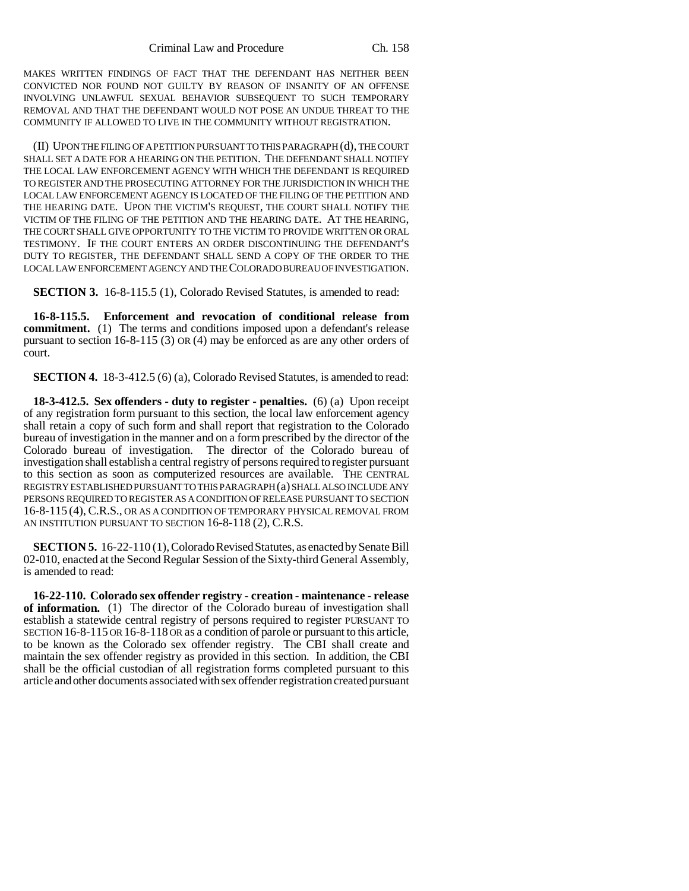MAKES WRITTEN FINDINGS OF FACT THAT THE DEFENDANT HAS NEITHER BEEN CONVICTED NOR FOUND NOT GUILTY BY REASON OF INSANITY OF AN OFFENSE INVOLVING UNLAWFUL SEXUAL BEHAVIOR SUBSEQUENT TO SUCH TEMPORARY REMOVAL AND THAT THE DEFENDANT WOULD NOT POSE AN UNDUE THREAT TO THE COMMUNITY IF ALLOWED TO LIVE IN THE COMMUNITY WITHOUT REGISTRATION.

(II) UPON THE FILING OF A PETITION PURSUANT TO THIS PARAGRAPH (d), THE COURT SHALL SET A DATE FOR A HEARING ON THE PETITION. THE DEFENDANT SHALL NOTIFY THE LOCAL LAW ENFORCEMENT AGENCY WITH WHICH THE DEFENDANT IS REQUIRED TO REGISTER AND THE PROSECUTING ATTORNEY FOR THE JURISDICTION IN WHICH THE LOCAL LAW ENFORCEMENT AGENCY IS LOCATED OF THE FILING OF THE PETITION AND THE HEARING DATE. UPON THE VICTIM'S REQUEST, THE COURT SHALL NOTIFY THE VICTIM OF THE FILING OF THE PETITION AND THE HEARING DATE. AT THE HEARING, THE COURT SHALL GIVE OPPORTUNITY TO THE VICTIM TO PROVIDE WRITTEN OR ORAL TESTIMONY. IF THE COURT ENTERS AN ORDER DISCONTINUING THE DEFENDANT'S DUTY TO REGISTER, THE DEFENDANT SHALL SEND A COPY OF THE ORDER TO THE LOCAL LAW ENFORCEMENT AGENCY AND THE COLORADO BUREAU OF INVESTIGATION.

**SECTION 3.** 16-8-115.5 (1), Colorado Revised Statutes, is amended to read:

**16-8-115.5. Enforcement and revocation of conditional release from commitment.** (1) The terms and conditions imposed upon a defendant's release pursuant to section 16-8-115 (3) OR (4) may be enforced as are any other orders of court.

**SECTION 4.** 18-3-412.5 (6) (a), Colorado Revised Statutes, is amended to read:

**18-3-412.5. Sex offenders - duty to register - penalties.** (6) (a) Upon receipt of any registration form pursuant to this section, the local law enforcement agency shall retain a copy of such form and shall report that registration to the Colorado bureau of investigation in the manner and on a form prescribed by the director of the Colorado bureau of investigation. The director of the Colorado bureau of investigation shall establish a central registry of persons required to register pursuant to this section as soon as computerized resources are available. THE CENTRAL REGISTRY ESTABLISHED PURSUANT TO THIS PARAGRAPH (a) SHALL ALSO INCLUDE ANY PERSONS REQUIRED TO REGISTER AS A CONDITION OF RELEASE PURSUANT TO SECTION 16-8-115 (4), C.R.S., OR AS A CONDITION OF TEMPORARY PHYSICAL REMOVAL FROM AN INSTITUTION PURSUANT TO SECTION 16-8-118 (2), C.R.S.

**SECTION 5.** 16-22-110 (1), Colorado Revised Statutes, as enacted by Senate Bill 02-010, enacted at the Second Regular Session of the Sixty-third General Assembly, is amended to read:

**16-22-110. Colorado sex offender registry - creation - maintenance - release of information.** (1) The director of the Colorado bureau of investigation shall establish a statewide central registry of persons required to register PURSUANT TO SECTION 16-8-115 OR 16-8-118 OR as a condition of parole or pursuant to this article, to be known as the Colorado sex offender registry. The CBI shall create and maintain the sex offender registry as provided in this section. In addition, the CBI shall be the official custodian of all registration forms completed pursuant to this article and other documents associated with sex offender registration created pursuant